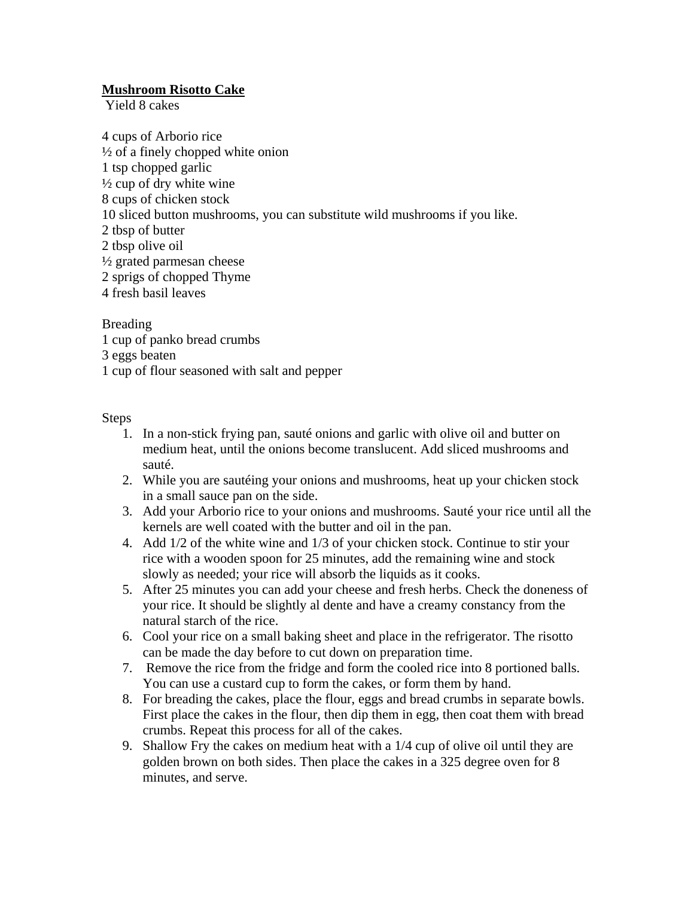### **Mushroom Risotto Cake**

Yield 8 cakes

4 cups of Arborio rice  $\frac{1}{2}$  of a finely chopped white onion 1 tsp chopped garlic  $\frac{1}{2}$  cup of dry white wine 8 cups of chicken stock 10 sliced button mushrooms, you can substitute wild mushrooms if you like. 2 tbsp of butter 2 tbsp olive oil ½ grated parmesan cheese 2 sprigs of chopped Thyme 4 fresh basil leaves

Breading 1 cup of panko bread crumbs 3 eggs beaten 1 cup of flour seasoned with salt and pepper

#### Steps

- 1. In a non-stick frying pan, sauté onions and garlic with olive oil and butter on medium heat, until the onions become translucent. Add sliced mushrooms and sauté.
- 2. While you are sautéing your onions and mushrooms, heat up your chicken stock in a small sauce pan on the side.
- 3. Add your Arborio rice to your onions and mushrooms. Sauté your rice until all the kernels are well coated with the butter and oil in the pan.
- 4. Add 1/2 of the white wine and 1/3 of your chicken stock. Continue to stir your rice with a wooden spoon for 25 minutes, add the remaining wine and stock slowly as needed; your rice will absorb the liquids as it cooks.
- 5. After 25 minutes you can add your cheese and fresh herbs. Check the doneness of your rice. It should be slightly al dente and have a creamy constancy from the natural starch of the rice.
- 6. Cool your rice on a small baking sheet and place in the refrigerator. The risotto can be made the day before to cut down on preparation time.
- 7. Remove the rice from the fridge and form the cooled rice into 8 portioned balls. You can use a custard cup to form the cakes, or form them by hand.
- 8. For breading the cakes, place the flour, eggs and bread crumbs in separate bowls. First place the cakes in the flour, then dip them in egg, then coat them with bread crumbs. Repeat this process for all of the cakes.
- 9. Shallow Fry the cakes on medium heat with a 1/4 cup of olive oil until they are golden brown on both sides. Then place the cakes in a 325 degree oven for 8 minutes, and serve.